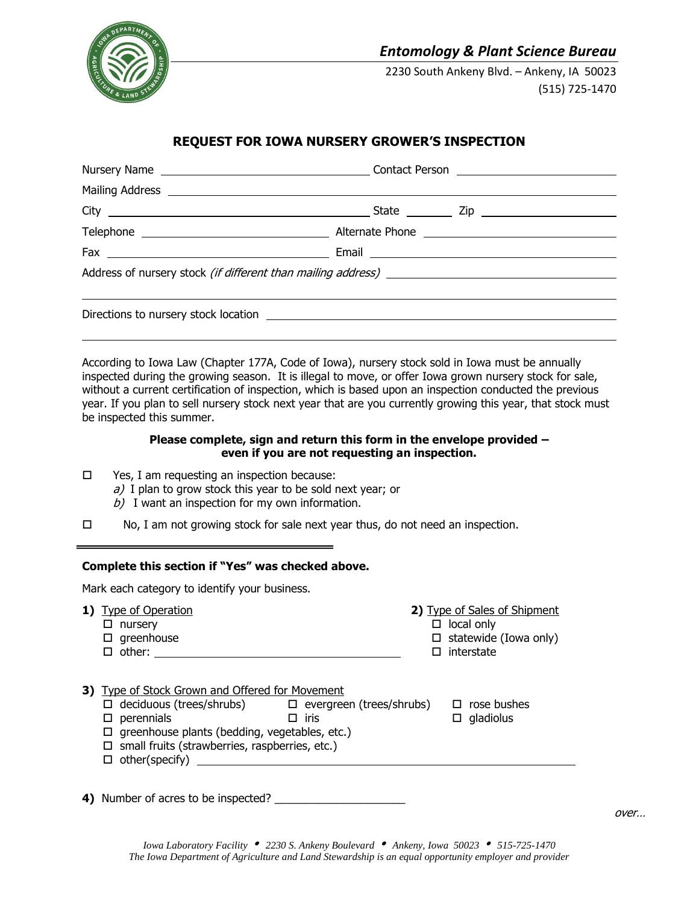

# *Entomology & Plant Science Bureau*

 2230 South Ankeny Blvd. – Ankeny, IA 50023 (515) 725-1470

# **REQUEST FOR IOWA NURSERY GROWER'S INSPECTION**

According to Iowa Law (Chapter 177A, Code of Iowa), nursery stock sold in Iowa must be annually inspected during the growing season. It is illegal to move, or offer Iowa grown nursery stock for sale, without a current certification of inspection, which is based upon an inspection conducted the previous year. If you plan to sell nursery stock next year that are you currently growing this year, that stock must be inspected this summer.

### **Please complete, sign and return this form in the envelope provided – even if you are not requesting an inspection.**

- $\square$  Yes, I am requesting an inspection because:
	- $a$ ) I plan to grow stock this year to be sold next year; or
	- $b)$  I want an inspection for my own information.
- $\Box$  No, I am not growing stock for sale next year thus, do not need an inspection.

## **Complete this section if "Yes" was checked above.**

Mark each category to identify your business.

| 1) Type of Operation<br>$\Box$ nursery<br>$\Box$ greenhouse<br>$\Box$ other: $\_\_\_\_\_\_\_\_\_\_\_$                                                                                                                                                                                              |             | 2) Type of Sales of Shipment<br>$\Box$ local only<br>$\Box$ statewide (Iowa only)<br>$\square$ interstate |
|----------------------------------------------------------------------------------------------------------------------------------------------------------------------------------------------------------------------------------------------------------------------------------------------------|-------------|-----------------------------------------------------------------------------------------------------------|
| 3) Type of Stock Grown and Offered for Movement<br>$\Box$ deciduous (trees/shrubs) $\Box$ evergreen (trees/shrubs) $\Box$ rose bushes<br>perennials<br>□<br>$\Box$ greenhouse plants (bedding, vegetables, etc.)<br>$\Box$ small fruits (strawberries, raspberries, etc.)<br>$\Box$ other(specify) | $\Box$ iris | $\Box$ gladiolus                                                                                          |
| 4) Number of acres to be inspected?                                                                                                                                                                                                                                                                |             |                                                                                                           |

over…